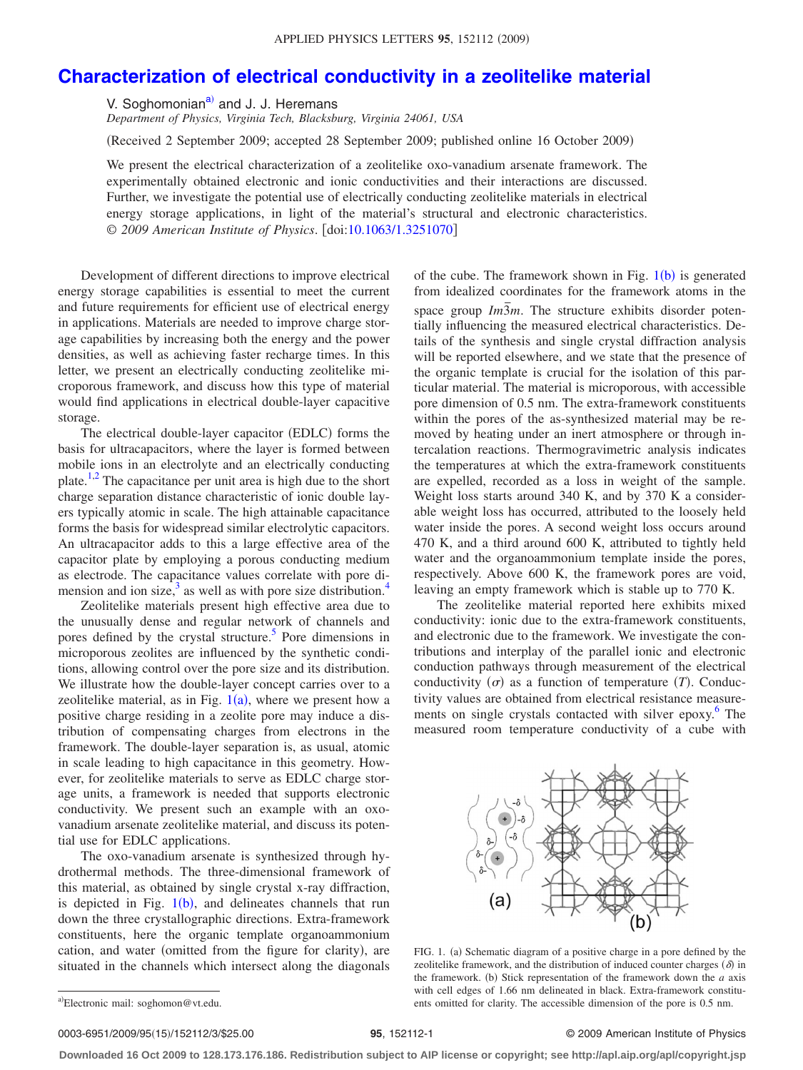## **[Characterization of electrical conductivity in a zeolitelike material](http://dx.doi.org/10.1063/1.3251070)**

V. Soghomonian<sup>a)</sup> and J. J. Heremans

*Department of Physics, Virginia Tech, Blacksburg, Virginia 24061, USA*

Received 2 September 2009; accepted 28 September 2009; published online 16 October 2009-

We present the electrical characterization of a zeolitelike oxo-vanadium arsenate framework. The experimentally obtained electronic and ionic conductivities and their interactions are discussed. Further, we investigate the potential use of electrically conducting zeolitelike materials in electrical energy storage applications, in light of the material's structural and electronic characteristics. © *2009 American Institute of Physics*. doi[:10.1063/1.3251070](http://dx.doi.org/10.1063/1.3251070)

Development of different directions to improve electrical energy storage capabilities is essential to meet the current and future requirements for efficient use of electrical energy in applications. Materials are needed to improve charge storage capabilities by increasing both the energy and the power densities, as well as achieving faster recharge times. In this letter, we present an electrically conducting zeolitelike microporous framework, and discuss how this type of material would find applications in electrical double-layer capacitive storage.

The electrical double-layer capacitor (EDLC) forms the basis for ultracapacitors, where the layer is formed between mobile ions in an electrolyte and an electrically conducting plate[.1](#page-2-0)[,2](#page-2-1) The capacitance per unit area is high due to the short charge separation distance characteristic of ionic double layers typically atomic in scale. The high attainable capacitance forms the basis for widespread similar electrolytic capacitors. An ultracapacitor adds to this a large effective area of the capacitor plate by employing a porous conducting medium as electrode. The capacitance values correlate with pore dimension and ion size, $3$  as well as with pore size distribution.<sup>4</sup>

Zeolitelike materials present high effective area due to the unusually dense and regular network of channels and pores defined by the crystal structure[.5](#page-2-4) Pore dimensions in microporous zeolites are influenced by the synthetic conditions, allowing control over the pore size and its distribution. We illustrate how the double-layer concept carries over to a zeolitelike material, as in Fig.  $1(a)$  $1(a)$ , where we present how a positive charge residing in a zeolite pore may induce a distribution of compensating charges from electrons in the framework. The double-layer separation is, as usual, atomic in scale leading to high capacitance in this geometry. However, for zeolitelike materials to serve as EDLC charge storage units, a framework is needed that supports electronic conductivity. We present such an example with an oxovanadium arsenate zeolitelike material, and discuss its potential use for EDLC applications.

The oxo-vanadium arsenate is synthesized through hydrothermal methods. The three-dimensional framework of this material, as obtained by single crystal x-ray diffraction, is depicted in Fig.  $1(b)$  $1(b)$ , and delineates channels that run down the three crystallographic directions. Extra-framework constituents, here the organic template organoammonium cation, and water (omitted from the figure for clarity), are situated in the channels which intersect along the diagonals

of the cube. The framework shown in Fig.  $1(b)$  $1(b)$  is generated from idealized coordinates for the framework atoms in the space group  $Im\overline{3}m$ . The structure exhibits disorder potentially influencing the measured electrical characteristics. Details of the synthesis and single crystal diffraction analysis will be reported elsewhere, and we state that the presence of the organic template is crucial for the isolation of this particular material. The material is microporous, with accessible pore dimension of 0.5 nm. The extra-framework constituents within the pores of the as-synthesized material may be removed by heating under an inert atmosphere or through intercalation reactions. Thermogravimetric analysis indicates the temperatures at which the extra-framework constituents are expelled, recorded as a loss in weight of the sample. Weight loss starts around 340 K, and by 370 K a considerable weight loss has occurred, attributed to the loosely held water inside the pores. A second weight loss occurs around 470 K, and a third around 600 K, attributed to tightly held water and the organoammonium template inside the pores, respectively. Above 600 K, the framework pores are void, leaving an empty framework which is stable up to 770 K.

The zeolitelike material reported here exhibits mixed conductivity: ionic due to the extra-framework constituents, and electronic due to the framework. We investigate the contributions and interplay of the parallel ionic and electronic conduction pathways through measurement of the electrical conductivity  $(\sigma)$  as a function of temperature *(T)*. Conductivity values are obtained from electrical resistance measurements on single crystals contacted with silver epoxy.<sup>6</sup> The measured room temperature conductivity of a cube with

<span id="page-0-1"></span>

FIG. 1. (a) Schematic diagram of a positive charge in a pore defined by the zeolitelike framework, and the distribution of induced counter charges  $(\delta)$  in the framework. (b) Stick representation of the framework down the  $a$  axis with cell edges of 1.66 nm delineated in black. Extra-framework constituents omitted for clarity. The accessible dimension of the pore is 0.5 nm.

## 15/152112/3/\$25.00 © 2009 American Institute of Physics **95**, 152112-1

**Downloaded 16 Oct 2009 to 128.173.176.186. Redistribution subject to AIP license or copyright; see http://apl.aip.org/apl/copyright.jsp**

<span id="page-0-0"></span>a)Electronic mail: soghomon@vt.edu.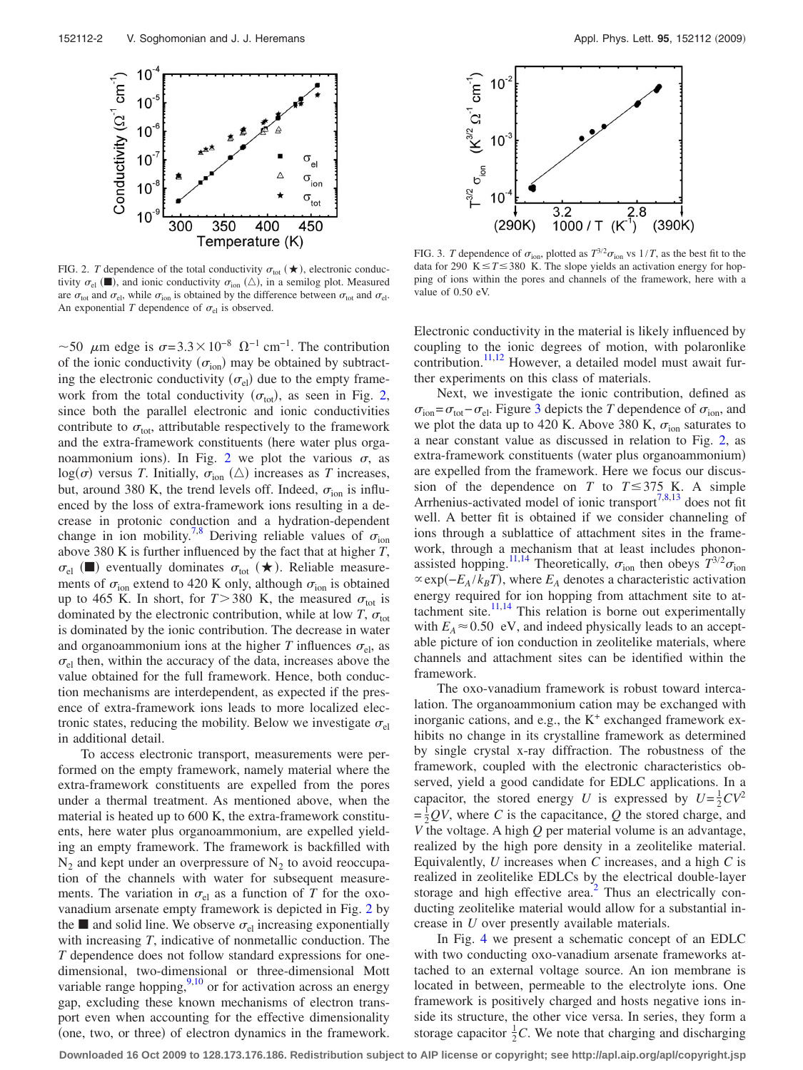<span id="page-1-0"></span>

FIG. 2. *T* dependence of the total conductivity  $\sigma_{\text{tot}}(\star)$ , electronic conductivity  $\sigma_{el}$  ( $\blacksquare$ ), and ionic conductivity  $\sigma_{ion}$  ( $\triangle$ ), in a semilog plot. Measured are  $\sigma_{\text{tot}}$  and  $\sigma_{\text{el}}$ , while  $\sigma_{\text{ion}}$  is obtained by the difference between  $\sigma_{\text{tot}}$  and  $\sigma_{\text{el}}$ . An exponential *T* dependence of  $\sigma_{el}$  is observed.

~50  $\mu$ m edge is  $\sigma$ =3.3 × 10<sup>-8</sup>  $\Omega$ <sup>-1</sup> cm<sup>-1</sup>. The contribution of the ionic conductivity  $(\sigma_{\text{ion}})$  may be obtained by subtracting the electronic conductivity  $(\sigma_{el})$  due to the empty framework from the total conductivity  $(\sigma_{\text{tot}})$ , as seen in Fig. [2,](#page-1-0) since both the parallel electronic and ionic conductivities contribute to  $\sigma_{\text{tot}}$ , attributable respectively to the framework and the extra-framework constituents (here water plus orga-noammonium ions). In Fig. [2](#page-1-0) we plot the various  $\sigma$ , as  $log(\sigma)$  versus *T*. Initially,  $\sigma_{\text{ion}}$  ( $\triangle$ ) increases as *T* increases, but, around 380 K, the trend levels off. Indeed,  $\sigma_{\text{ion}}$  is influenced by the loss of extra-framework ions resulting in a decrease in protonic conduction and a hydration-dependent change in ion mobility.<sup>7,[8](#page-2-7)</sup> Deriving reliable values of  $\sigma_{\text{ion}}$ above 380 K is further influenced by the fact that at higher *T*,  $\sigma_{el}$  ( $\blacksquare$ ) eventually dominates  $\sigma_{tot}$  ( $\bigstar$ ). Reliable measurements of  $\sigma_{\text{ion}}$  extend to 420 K only, although  $\sigma_{\text{ion}}$  is obtained up to 465 K. In short, for  $T > 380$  K, the measured  $\sigma_{\text{tot}}$  is dominated by the electronic contribution, while at low *T*,  $\sigma_{\text{tot}}$ is dominated by the ionic contribution. The decrease in water and organoammonium ions at the higher *T* influences  $\sigma_{el}$ , as  $\sigma_{el}$  then, within the accuracy of the data, increases above the value obtained for the full framework. Hence, both conduction mechanisms are interdependent, as expected if the presence of extra-framework ions leads to more localized electronic states, reducing the mobility. Below we investigate  $\sigma_{el}$ in additional detail.

To access electronic transport, measurements were performed on the empty framework, namely material where the extra-framework constituents are expelled from the pores under a thermal treatment. As mentioned above, when the material is heated up to 600 K, the extra-framework constituents, here water plus organoammonium, are expelled yielding an empty framework. The framework is backfilled with  $N_2$  and kept under an overpressure of  $N_2$  to avoid reoccupation of the channels with water for subsequent measurements. The variation in  $\sigma_{el}$  as a function of *T* for the oxovanadium arsenate empty framework is depicted in Fig. [2](#page-1-0) by the  $\blacksquare$  and solid line. We observe  $\sigma_{el}$  increasing exponentially with increasing *T*, indicative of nonmetallic conduction. The *T* dependence does not follow standard expressions for onedimensional, two-dimensional or three-dimensional Mott variable range hopping,  $9,10$  $9,10$  or for activation across an energy gap, excluding these known mechanisms of electron transport even when accounting for the effective dimensionality (one, two, or three) of electron dynamics in the framework.

<span id="page-1-1"></span>

FIG. 3. *T* dependence of  $\sigma_{\text{ion}}$ , plotted as  $T^{3/2}\sigma_{\text{ion}}$  vs  $1/T$ , as the best fit to the data for 290 K $\leq T \leq 380$  K. The slope yields an activation energy for hopping of ions within the pores and channels of the framework, here with a value of 0.50 eV.

Electronic conductivity in the material is likely influenced by coupling to the ionic degrees of motion, with polaronlike contribution.<sup>11[,12](#page-2-11)</sup> However, a detailed model must await further experiments on this class of materials.

Next, we investigate the ionic contribution, defined as  $\sigma_{\text{ion}} = \sigma_{\text{tot}} - \sigma_{\text{el}}$ . Figure [3](#page-1-1) depicts the *T* dependence of  $\sigma_{\text{ion}}$ , and we plot the data up to 420 K. Above 380 K,  $\sigma_{ion}$  saturates to a near constant value as discussed in relation to Fig. [2,](#page-1-0) as extra-framework constituents (water plus organoammonium) are expelled from the framework. Here we focus our discussion of the dependence on *T* to  $T \leq 375$  K. A simple Arrhenius-activated model of ionic transport<sup>7,[8,](#page-2-7)[13](#page-2-12)</sup> does not fit well. A better fit is obtained if we consider channeling of ions through a sublattice of attachment sites in the framework, through a mechanism that at least includes phonon-assisted hopping.<sup>11,[14](#page-2-13)</sup> Theoretically,  $\sigma_{\text{ion}}$  then obeys  $T^{3/2} \sigma_{\text{ion}}$  $\propto$ exp( $-E_A/k_B T$ ), where  $E_A$  denotes a characteristic activation energy required for ion hopping from attachment site to attachment site. $11,14$  $11,14$  This relation is borne out experimentally with  $E_A \approx 0.50$  eV, and indeed physically leads to an acceptable picture of ion conduction in zeolitelike materials, where channels and attachment sites can be identified within the framework.

The oxo-vanadium framework is robust toward intercalation. The organoammonium cation may be exchanged with inorganic cations, and e.g., the  $K^+$  exchanged framework exhibits no change in its crystalline framework as determined by single crystal x-ray diffraction. The robustness of the framework, coupled with the electronic characteristics observed, yield a good candidate for EDLC applications. In a capacitor, the stored energy *U* is expressed by  $U = \frac{1}{2}CV^2$  $=\frac{1}{2}QV$ , where *C* is the capacitance, *Q* the stored charge, and *V* the voltage. A high *Q* per material volume is an advantage, realized by the high pore density in a zeolitelike material. Equivalently, *U* increases when *C* increases, and a high *C* is realized in zeolitelike EDLCs by the electrical double-layer storage and high effective area.<sup>2</sup> Thus an electrically conducting zeolitelike material would allow for a substantial increase in *U* over presently available materials.

In Fig. [4](#page-2-14) we present a schematic concept of an EDLC with two conducting oxo-vanadium arsenate frameworks attached to an external voltage source. An ion membrane is located in between, permeable to the electrolyte ions. One framework is positively charged and hosts negative ions inside its structure, the other vice versa. In series, they form a storage capacitor  $\frac{1}{2}C$ . We note that charging and discharging

**Downloaded 16 Oct 2009 to 128.173.176.186. Redistribution subject to AIP license or copyright; see http://apl.aip.org/apl/copyright.jsp**